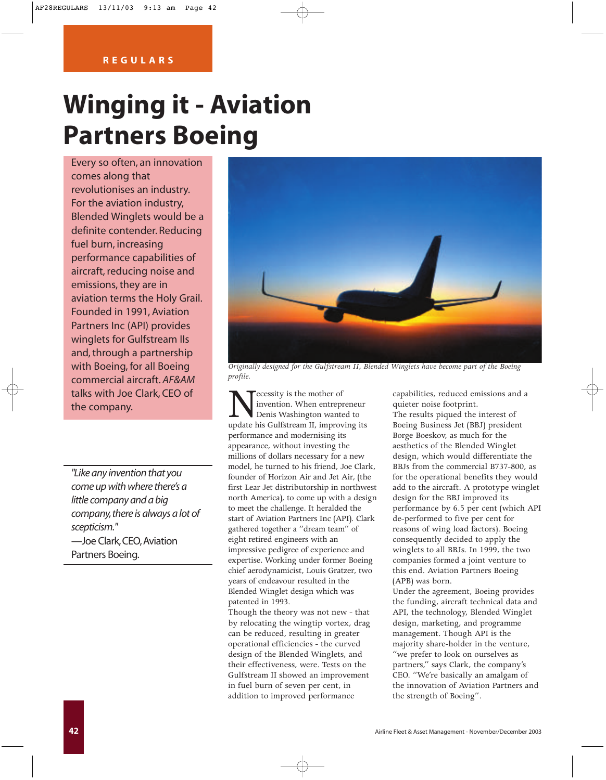## **Winging it - Aviation Partners Boeing**

Every so often, an innovation comes along that revolutionises an industry. For the aviation industry, Blended Winglets would be a definite contender. Reducing fuel burn, increasing performance capabilities of aircraft, reducing noise and emissions, they are in aviation terms the Holy Grail. Founded in 1991, Aviation Partners Inc (API) provides winglets for Gulfstream IIs and, through a partnership with Boeing, for all Boeing commercial aircraft. *AF&AM* talks with Joe Clark, CEO of

*"Like any invention that you come up with where there's a little company and a big company,there is always a lot of scepticism."* —Joe Clark,CEO,Aviation Partners Boeing.



*Originally designed for the Gulfstream II, Blended Winglets have become part of the Boeing profile.*

talks with Joe Clark, CEO of<br>the company.<br>Necessity is the mother of<br>penis Washington wanted update his Gulfstream II, improved and the mother<br>support of the Sulfstream II, improved and the Sulfstream II, improved and the invention. When entrepreneur Denis Washington wanted to update his Gulfstream II, improving its performance and modernising its appearance, without investing the millions of dollars necessary for a new model, he turned to his friend, Joe Clark, founder of Horizon Air and Jet Air, (the first Lear Jet distributorship in northwest north America), to come up with a design to meet the challenge. It heralded the start of Aviation Partners Inc (API). Clark gathered together a "dream team" of eight retired engineers with an impressive pedigree of experience and expertise. Working under former Boeing chief aerodynamicist, Louis Gratzer, two years of endeavour resulted in the Blended Winglet design which was patented in 1993.

> Though the theory was not new - that by relocating the wingtip vortex, drag can be reduced, resulting in greater operational efficiencies - the curved design of the Blended Winglets, and their effectiveness, were. Tests on the Gulfstream II showed an improvement in fuel burn of seven per cent, in addition to improved performance

capabilities, reduced emissions and a quieter noise footprint.

The results piqued the interest of Boeing Business Jet (BBJ) president Borge Boeskov, as much for the aesthetics of the Blended Winglet design, which would differentiate the BBJs from the commercial B737-800, as for the operational benefits they would add to the aircraft. A prototype winglet design for the BBJ improved its performance by 6.5 per cent (which API de-performed to five per cent for reasons of wing load factors). Boeing consequently decided to apply the winglets to all BBJs. In 1999, the two companies formed a joint venture to this end. Aviation Partners Boeing (APB) was born.

Under the agreement, Boeing provides the funding, aircraft technical data and API, the technology, Blended Winglet design, marketing, and programme management. Though API is the majority share-holder in the venture, "we prefer to look on ourselves as partners," says Clark, the company's CEO. "We're basically an amalgam of the innovation of Aviation Partners and the strength of Boeing".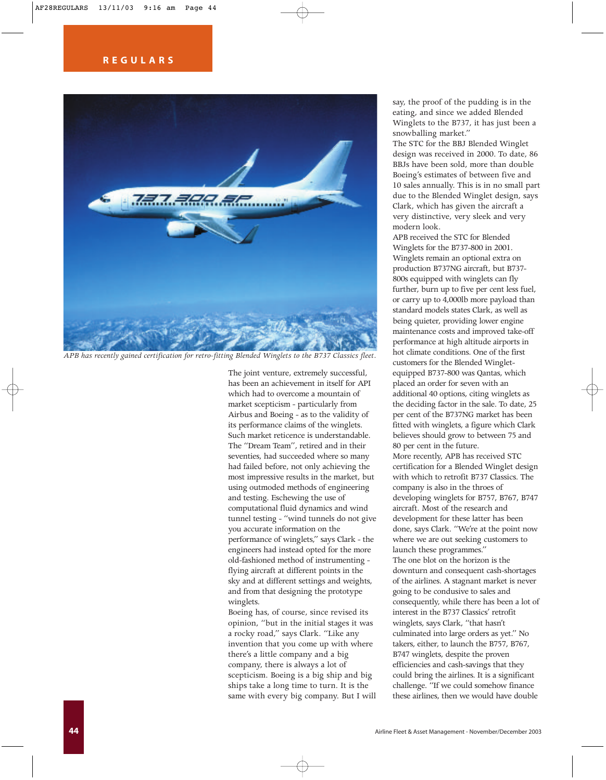

*APB has recently gained certification for retro-fitting Blended Winglets to the B737 Classics fleet.*

The joint venture, extremely successful, has been an achievement in itself for API which had to overcome a mountain of market scepticism - particularly from Airbus and Boeing - as to the validity of its performance claims of the winglets. Such market reticence is understandable. The "Dream Team", retired and in their seventies, had succeeded where so many had failed before, not only achieving the most impressive results in the market, but using outmoded methods of engineering and testing. Eschewing the use of computational fluid dynamics and wind tunnel testing - "wind tunnels do not give you accurate information on the performance of winglets," says Clark - the engineers had instead opted for the more old-fashioned method of instrumenting flying aircraft at different points in the sky and at different settings and weights, and from that designing the prototype winglets.

Boeing has, of course, since revised its opinion, "but in the initial stages it was a rocky road," says Clark. "Like any invention that you come up with where there's a little company and a big company, there is always a lot of scepticism. Boeing is a big ship and big ships take a long time to turn. It is the same with every big company. But I will say, the proof of the pudding is in the eating, and since we added Blended Winglets to the B737, it has just been a snowballing market."

The STC for the BBJ Blended Winglet design was received in 2000. To date, 86 BBJs have been sold, more than double Boeing's estimates of between five and 10 sales annually. This is in no small part due to the Blended Winglet design, says Clark, which has given the aircraft a very distinctive, very sleek and very modern look.

APB received the STC for Blended Winglets for the B737-800 in 2001. Winglets remain an optional extra on production B737NG aircraft, but B737- 800s equipped with winglets can fly further, burn up to five per cent less fuel, or carry up to 4,000lb more payload than standard models states Clark, as well as being quieter, providing lower engine maintenance costs and improved take-off performance at high altitude airports in hot climate conditions. One of the first customers for the Blended Wingletequipped B737-800 was Qantas, which placed an order for seven with an additional 40 options, citing winglets as the deciding factor in the sale. To date, 25 per cent of the B737NG market has been fitted with winglets, a figure which Clark believes should grow to between 75 and 80 per cent in the future. More recently, APB has received STC

certification for a Blended Winglet design with which to retrofit B737 Classics. The company is also in the throes of developing winglets for B757, B767, B747 aircraft. Most of the research and development for these latter has been done, says Clark. "We're at the point now where we are out seeking customers to launch these programmes." The one blot on the horizon is the downturn and consequent cash-shortages of the airlines. A stagnant market is never going to be condusive to sales and consequently, while there has been a lot of interest in the B737 Classics' retrofit winglets, says Clark, "that hasn't culminated into large orders as yet." No takers, either, to launch the B757, B767, B747 winglets, despite the proven efficiencies and cash-savings that they could bring the airlines. It is a significant challenge. "If we could somehow finance these airlines, then we would have double